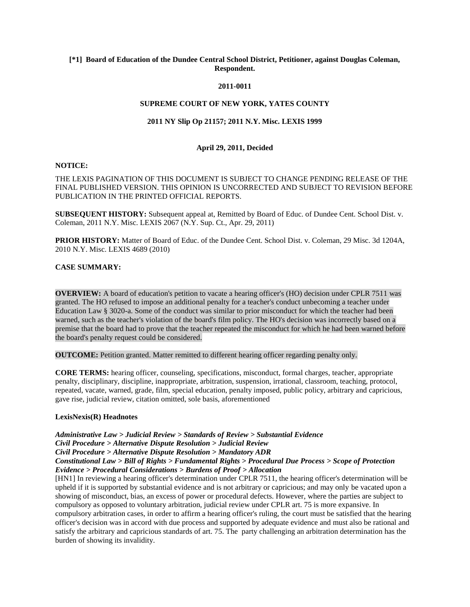# **[\*1] Board of Education of the Dundee Central School District, Petitioner, against Douglas Coleman, Respondent.**

#### **2011-0011**

## **SUPREME COURT OF NEW YORK, YATES COUNTY**

# **2011 NY Slip Op 21157; 2011 N.Y. Misc. LEXIS 1999**

## **April 29, 2011, Decided**

#### **NOTICE:**

THE LEXIS PAGINATION OF THIS DOCUMENT IS SUBJECT TO CHANGE PENDING RELEASE OF THE FINAL PUBLISHED VERSION. THIS OPINION IS UNCORRECTED AND SUBJECT TO REVISION BEFORE PUBLICATION IN THE PRINTED OFFICIAL REPORTS.

**SUBSEQUENT HISTORY:** Subsequent appeal at, Remitted by Board of Educ. of Dundee Cent. School Dist. v. Coleman, 2011 N.Y. Misc. LEXIS 2067 (N.Y. Sup. Ct., Apr. 29, 2011)

**PRIOR HISTORY:** Matter of Board of Educ. of the Dundee Cent. School Dist. v. Coleman, 29 Misc. 3d 1204A, 2010 N.Y. Misc. LEXIS 4689 (2010)

#### **CASE SUMMARY:**

**OVERVIEW:** A board of education's petition to vacate a hearing officer's (HO) decision under CPLR 7511 was granted. The HO refused to impose an additional penalty for a teacher's conduct unbecoming a teacher under Education Law § 3020-a. Some of the conduct was similar to prior misconduct for which the teacher had been warned, such as the teacher's violation of the board's film policy. The HO's decision was incorrectly based on a premise that the board had to prove that the teacher repeated the misconduct for which he had been warned before the board's penalty request could be considered.

**OUTCOME:** Petition granted. Matter remitted to different hearing officer regarding penalty only.

**CORE TERMS:** hearing officer, counseling, specifications, misconduct, formal charges, teacher, appropriate penalty, disciplinary, discipline, inappropriate, arbitration, suspension, irrational, classroom, teaching, protocol, repeated, vacate, warned, grade, film, special education, penalty imposed, public policy, arbitrary and capricious, gave rise, judicial review, citation omitted, sole basis, aforementioned

## **LexisNexis(R) Headnotes**

*Administrative Law > Judicial Review > Standards of Review > Substantial Evidence Civil Procedure > Alternative Dispute Resolution > Judicial Review Civil Procedure > Alternative Dispute Resolution > Mandatory ADR Constitutional Law > Bill of Rights > Fundamental Rights > Procedural Due Process > Scope of Protection Evidence > Procedural Considerations > Burdens of Proof > Allocation*

[HN1] In reviewing a hearing officer's determination under CPLR 7511, the hearing officer's determination will be upheld if it is supported by substantial evidence and is not arbitrary or capricious; and may only be vacated upon a showing of misconduct, bias, an excess of power or procedural defects. However, where the parties are subject to compulsory as opposed to voluntary arbitration, judicial review under CPLR art. 75 is more expansive. In compulsory arbitration cases, in order to affirm a hearing officer's ruling, the court must be satisfied that the hearing officer's decision was in accord with due process and supported by adequate evidence and must also be rational and satisfy the arbitrary and capricious standards of art. 75. The party challenging an arbitration determination has the burden of showing its invalidity.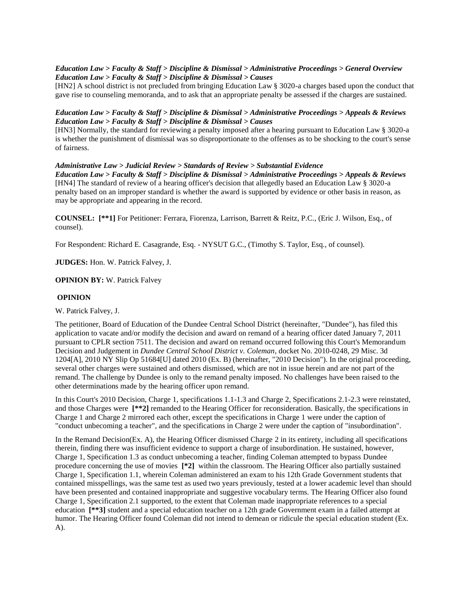## *Education Law > Faculty & Staff > Discipline & Dismissal > Administrative Proceedings > General Overview Education Law > Faculty & Staff > Discipline & Dismissal > Causes*

[HN2] A school district is not precluded from bringing Education Law § 3020-a charges based upon the conduct that gave rise to counseling memoranda, and to ask that an appropriate penalty be assessed if the charges are sustained.

# *Education Law > Faculty & Staff > Discipline & Dismissal > Administrative Proceedings > Appeals & Reviews Education Law > Faculty & Staff > Discipline & Dismissal > Causes*

[HN3] Normally, the standard for reviewing a penalty imposed after a hearing pursuant to Education Law § 3020-a is whether the punishment of dismissal was so disproportionate to the offenses as to be shocking to the court's sense of fairness.

## *Administrative Law > Judicial Review > Standards of Review > Substantial Evidence*

*Education Law > Faculty & Staff > Discipline & Dismissal > Administrative Proceedings > Appeals & Reviews* [HN4] The standard of review of a hearing officer's decision that allegedly based an Education Law § 3020-a penalty based on an improper standard is whether the award is supported by evidence or other basis in reason, as may be appropriate and appearing in the record.

**COUNSEL: [\*\*1]** For Petitioner: Ferrara, Fiorenza, Larrison, Barrett & Reitz, P.C., (Eric J. Wilson, Esq., of counsel).

For Respondent: Richard E. Casagrande, Esq. - NYSUT G.C., (Timothy S. Taylor, Esq., of counsel).

**JUDGES:** Hon. W. Patrick Falvey, J.

**OPINION BY:** W. Patrick Falvey

## **OPINION**

W. Patrick Falvey, J.

The petitioner, Board of Education of the Dundee Central School District (hereinafter, "Dundee"), has filed this application to vacate and/or modify the decision and award on remand of a hearing officer dated January 7, 2011 pursuant to CPLR section 7511. The decision and award on remand occurred following this Court's Memorandum Decision and Judgement in *Dundee Central School District v. Coleman*, docket No. 2010-0248, 29 Misc. 3d 1204[A], 2010 NY Slip Op 51684[U] dated 2010 (Ex. B) (hereinafter, "2010 Decision"). In the original proceeding, several other charges were sustained and others dismissed, which are not in issue herein and are not part of the remand. The challenge by Dundee is only to the remand penalty imposed. No challenges have been raised to the other determinations made by the hearing officer upon remand.

In this Court's 2010 Decision, Charge 1, specifications 1.1-1.3 and Charge 2, Specifications 2.1-2.3 were reinstated, and those Charges were  $[**2]$  remanded to the Hearing Officer for reconsideration. Basically, the specifications in Charge 1 and Charge 2 mirrored each other, except the specifications in Charge 1 were under the caption of "conduct unbecoming a teacher", and the specifications in Charge 2 were under the caption of "insubordination".

In the Remand Decision(Ex. A), the Hearing Officer dismissed Charge 2 in its entirety, including all specifications therein, finding there was insufficient evidence to support a charge of insubordination. He sustained, however, Charge 1, Specification 1.3 as conduct unbecoming a teacher, finding Coleman attempted to bypass Dundee procedure concerning the use of movies **[\*2]** within the classroom. The Hearing Officer also partially sustained Charge 1, Specification 1.1, wherein Coleman administered an exam to his 12th Grade Government students that contained misspellings, was the same test as used two years previously, tested at a lower academic level than should have been presented and contained inappropriate and suggestive vocabulary terms. The Hearing Officer also found Charge 1, Specification 2.1 supported, to the extent that Coleman made inappropriate references to a special education **[\*\*3]** student and a special education teacher on a 12th grade Government exam in a failed attempt at humor. The Hearing Officer found Coleman did not intend to demean or ridicule the special education student (Ex. A).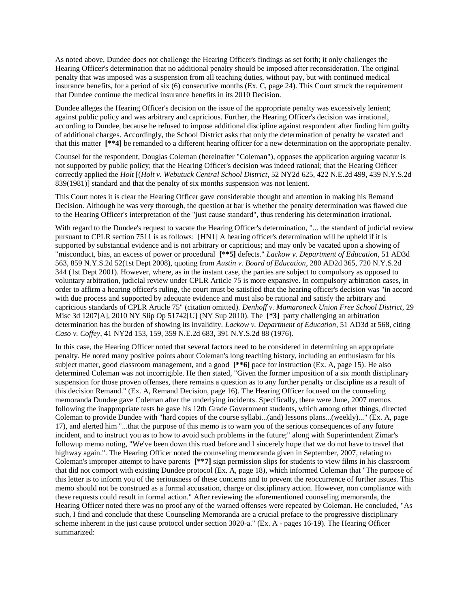As noted above, Dundee does not challenge the Hearing Officer's findings as set forth; it only challenges the Hearing Officer's determination that no additional penalty should be imposed after reconsideration. The original penalty that was imposed was a suspension from all teaching duties, without pay, but with continued medical insurance benefits, for a period of six (6) consecutive months (Ex. C, page 24). This Court struck the requirement that Dundee continue the medical insurance benefits in its 2010 Decision.

Dundee alleges the Hearing Officer's decision on the issue of the appropriate penalty was excessively lenient; against public policy and was arbitrary and capricious. Further, the Hearing Officer's decision was irrational, according to Dundee, because he refused to impose additional discipline against respondent after finding him guilty of additional charges. Accordingly, the School District asks that only the determination of penalty be vacated and that this matter **[\*\*4]** be remanded to a different hearing officer for a new determination on the appropriate penalty.

Counsel for the respondent, Douglas Coleman (hereinafter "Coleman"), opposes the application arguing vacatur is not supported by public policy; that the Hearing Officer's decision was indeed rational; that the Hearing Officer correctly applied the *Holt* [(*Holt v. Webutuck Central School District*, 52 NY2d 625, 422 N.E.2d 499, 439 N.Y.S.2d 839(1981)] standard and that the penalty of six months suspension was not lenient.

This Court notes it is clear the Hearing Officer gave considerable thought and attention in making his Remand Decision. Although he was very thorough, the question at bar is whether the penalty determination was flawed due to the Hearing Officer's interpretation of the "just cause standard", thus rendering his determination irrational.

With regard to the Dundee's request to vacate the Hearing Officer's determination, "... the standard of judicial review pursuant to CPLR section 7511 is as follows: [HN1] A hearing officer's determination will be upheld if it is supported by substantial evidence and is not arbitrary or capricious; and may only be vacated upon a showing of "misconduct, bias, an excess of power or procedural **[\*\*5]** defects." *Lackow v. Department of Education*, 51 AD3d 563, 859 N.Y.S.2d 52(1st Dept 2008), quoting from *Austin v. Board of Education*, 280 AD2d 365, 720 N.Y.S.2d 344 (1st Dept 2001). However, where, as in the instant case, the parties are subject to compulsory as opposed to voluntary arbitration, judicial review under CPLR Article 75 is more expansive. In compulsory arbitration cases, in order to affirm a hearing officer's ruling, the court must be satisfied that the hearing officer's decision was "in accord with due process and supported by adequate evidence and must also be rational and satisfy the arbitrary and capricious standards of CPLR Article 75" (citation omitted). *Denhoff v. Mamaroneck Union Free School District*, 29 Misc 3d 1207[A], 2010 NY Slip Op 51742[U] (NY Sup 2010). The **[\*3]** party challenging an arbitration determination has the burden of showing its invalidity. *Lackow v. Department of Education*, 51 AD3d at 568, citing *Caso v. Coffey*, 41 NY2d 153, 159, 359 N.E.2d 683, 391 N.Y.S.2d 88 (1976).

In this case, the Hearing Officer noted that several factors need to be considered in determining an appropriate penalty. He noted many positive points about Coleman's long teaching history, including an enthusiasm for his subject matter, good classroom management, and a good **[\*\*6]** pace for instruction (Ex. A, page 15). He also determined Coleman was not incorrigible. He then stated, "Given the former imposition of a six month disciplinary suspension for those proven offenses, there remains a question as to any further penalty or discipline as a result of this decision Remand." (Ex. A, Remand Decision, page 16). The Hearing Officer focused on the counseling memoranda Dundee gave Coleman after the underlying incidents. Specifically, there were June, 2007 memos following the inappropriate tests he gave his 12th Grade Government students, which among other things, directed Coleman to provide Dundee with "hard copies of the course syllabi...(and) lessons plans...(weekly)..." (Ex. A, page 17), and alerted him "...that the purpose of this memo is to warn you of the serious consequences of any future incident, and to instruct you as to how to avoid such problems in the future;" along with Superintendent Zimar's followup memo noting, "We've been down this road before and I sincerely hope that we do not have to travel that highway again.". The Hearing Officer noted the counseling memoranda given in September, 2007, relating to Coleman's improper attempt to have parents **[\*\*7]** sign permission slips for students to view films in his classroom that did not comport with existing Dundee protocol (Ex. A, page 18), which informed Coleman that "The purpose of this letter is to inform you of the seriousness of these concerns and to prevent the reoccurrence of further issues. This memo should not be construed as a formal accusation, charge or disciplinary action. However, non compliance with these requests could result in formal action." After reviewing the aforementioned counseling memoranda, the Hearing Officer noted there was no proof any of the warned offenses were repeated by Coleman. He concluded, "As such, I find and conclude that these Counseling Memoranda are a crucial preface to the progressive disciplinary scheme inherent in the just cause protocol under section 3020-a." (Ex. A - pages 16-19). The Hearing Officer summarized: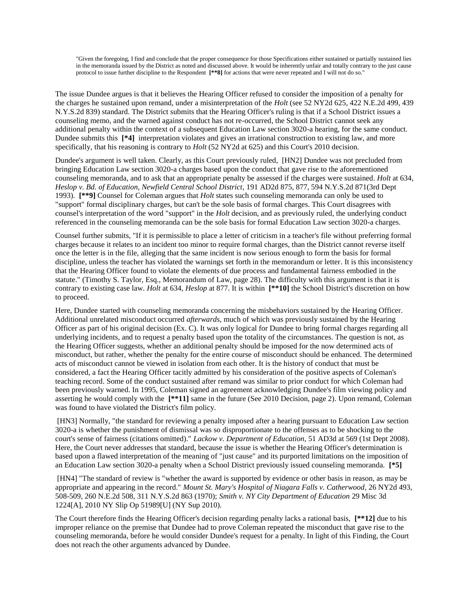"Given the foregoing, I find and conclude that the proper consequence for those Specifications either sustained or partially sustained lies in the memoranda issued by the District as noted and discussed above. It would be inherently unfair and totally contrary to the just cause protocol to issue further discipline to the Respondent **[\*\*8]** for actions that were never repeated and I will not do so."

The issue Dundee argues is that it believes the Hearing Officer refused to consider the imposition of a penalty for the charges he sustained upon remand, under a misinterpretation of the *Holt* (see 52 NY2d 625, 422 N.E.2d 499, 439 N.Y.S.2d 839) standard. The District submits that the Hearing Officer's ruling is that if a School District issues a counseling memo, and the warned against conduct has not re-occurred, the School District cannot seek any additional penalty within the context of a subsequent Education Law section 3020-a hearing, for the same conduct. Dundee submits this **[\*4]** interpretation violates and gives an irrational construction to existing law, and more specifically, that his reasoning is contrary to *Holt* (52 NY2d at 625) and this Court's 2010 decision.

Dundee's argument is well taken. Clearly, as this Court previously ruled, [HN2] Dundee was not precluded from bringing Education Law section 3020-a charges based upon the conduct that gave rise to the aforementioned counseling memoranda, and to ask that an appropriate penalty be assessed if the charges were sustained. *Holt* at 634, *Heslop v. Bd. of Education, Newfield Central School District*, 191 AD2d 875, 877, 594 N.Y.S.2d 871(3rd Dept 1993). **[\*\*9]** Counsel for Coleman argues that *Holt* states such counseling memoranda can only be used to "support" formal disciplinary charges, but can't be the sole basis of formal charges. This Court disagrees with counsel's interpretation of the word "support" in the *Holt* decision, and as previously ruled, the underlying conduct referenced in the counseling memoranda can be the sole basis for formal Education Law section 3020-a charges.

Counsel further submits, "If it is permissible to place a letter of criticism in a teacher's file without preferring formal charges because it relates to an incident too minor to require formal charges, than the District cannot reverse itself once the letter is in the file, alleging that the same incident is now serious enough to form the basis for formal discipline, unless the teacher has violated the warnings set forth in the memorandum or letter. It is this inconsistency that the Hearing Officer found to violate the elements of due process and fundamental fairness embodied in the statute." (Timothy S. Taylor, Esq., Memorandum of Law, page 28). The difficulty with this argument is that it is contrary to existing case law. *Holt* at 634, *Heslop* at 877. It is within **[\*\*10]** the School District's discretion on how to proceed.

Here, Dundee started with counseling memoranda concerning the misbehaviors sustained by the Hearing Officer. Additional unrelated misconduct occurred *afterwards*, much of which was previously sustained by the Hearing Officer as part of his original decision (Ex. C). It was only logical for Dundee to bring formal charges regarding all underlying incidents, and to request a penalty based upon the totality of the circumstances. The question is not, as the Hearing Officer suggests, whether an additional penalty should be imposed for the now determined acts of misconduct, but rather, whether the penalty for the entire course of misconduct should be enhanced. The determined acts of misconduct cannot be viewed in isolation from each other. It is the history of conduct that must be considered, a fact the Hearing Officer tacitly admitted by his consideration of the positive aspects of Coleman's teaching record. Some of the conduct sustained after remand was similar to prior conduct for which Coleman had been previously warned. In 1995, Coleman signed an agreement acknowledging Dundee's film viewing policy and asserting he would comply with the  $[**11]$  same in the future (See 2010 Decision, page 2). Upon remand, Coleman was found to have violated the District's film policy.

[HN3] Normally, "the standard for reviewing a penalty imposed after a hearing pursuant to Education Law section 3020-a is whether the punishment of dismissal was so disproportionate to the offenses as to be shocking to the court's sense of fairness (citations omitted)." *Lackow v. Department of Education*, 51 AD3d at 569 (1st Dept 2008). Here, the Court never addresses that standard, because the issue is whether the Hearing Officer's determination is based upon a flawed interpretation of the meaning of "just cause" and its purported limitations on the imposition of an Education Law section 3020-a penalty when a School District previously issued counseling memoranda. **[\*5]**

[HN4] "The standard of review is "whether the award is supported by evidence or other basis in reason, as may be appropriate and appearing in the record." *Mount St. Mary's Hospital of Niagara Falls v. Catherwood*, 26 NY2d 493, 508-509, 260 N.E.2d 508, 311 N.Y.S.2d 863 (1970); *Smith v. NY City Department of Education* 29 Misc 3d 1224[A], 2010 NY Slip Op 51989[U] (NY Sup 2010).

The Court therefore finds the Hearing Officer's decision regarding penalty lacks a rational basis, **[\*\*12]** due to his improper reliance on the premise that Dundee had to prove Coleman repeated the misconduct that gave rise to the counseling memoranda, before he would consider Dundee's request for a penalty. In light of this Finding, the Court does not reach the other arguments advanced by Dundee.